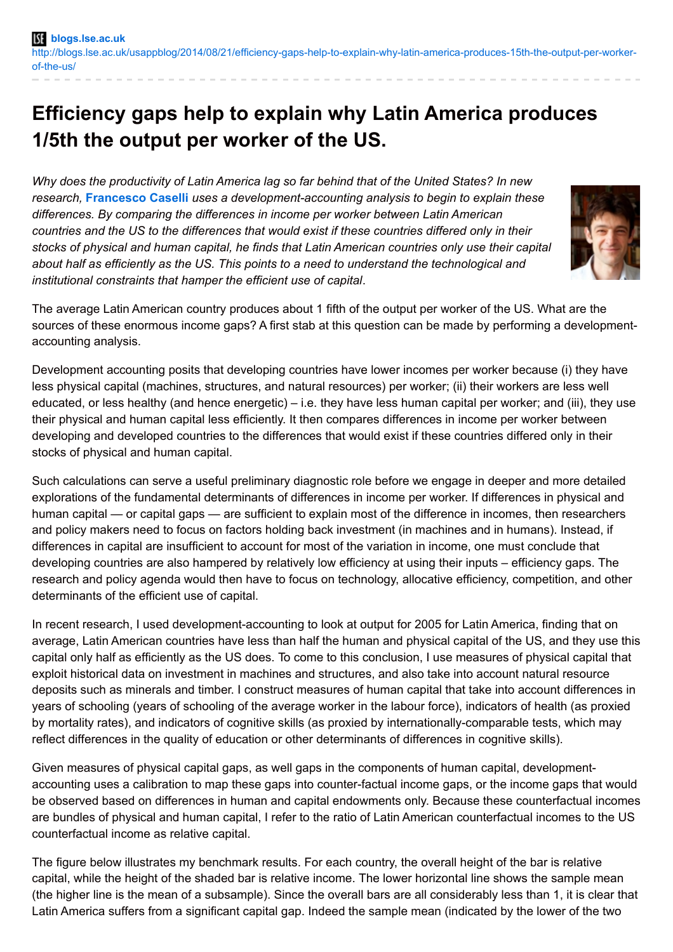## **Efficiency gaps help to explain why Latin America produces 1/5th the output per worker of the US.**

*Why does the productivity of Latin America lag so far behind that of the United States? In new research,* **[Francesco](http://wp.me/p3I2YF-2ls#Author) Caselli** *uses a development-accounting analysis to begin to explain these differences. By comparing the differences in income per worker between Latin American countries and the US to the differences that would exist if these countries differed only in their stocks of physical and human capital, he finds that Latin American countries only use their capital about half as efficiently as the US. This points to a need to understand the technological and institutional constraints that hamper the efficient use of capital*.



The average Latin American country produces about 1 fifth of the output per worker of the US. What are the sources of these enormous income gaps? A first stab at this question can be made by performing a developmentaccounting analysis.

Development accounting posits that developing countries have lower incomes per worker because (i) they have less physical capital (machines, structures, and natural resources) per worker; (ii) their workers are less well educated, or less healthy (and hence energetic) – i.e. they have less human capital per worker; and (iii), they use their physical and human capital less efficiently. It then compares differences in income per worker between developing and developed countries to the differences that would exist if these countries differed only in their stocks of physical and human capital.

Such calculations can serve a useful preliminary diagnostic role before we engage in deeper and more detailed explorations of the fundamental determinants of differences in income per worker. If differences in physical and human capital — or capital gaps — are sufficient to explain most of the difference in incomes, then researchers and policy makers need to focus on factors holding back investment (in machines and in humans). Instead, if differences in capital are insufficient to account for most of the variation in income, one must conclude that developing countries are also hampered by relatively low efficiency at using their inputs – efficiency gaps. The research and policy agenda would then have to focus on technology, allocative efficiency, competition, and other determinants of the efficient use of capital.

In recent research, I used development-accounting to look at output for 2005 for Latin America, finding that on average, Latin American countries have less than half the human and physical capital of the US, and they use this capital only half as efficiently as the US does. To come to this conclusion, I use measures of physical capital that exploit historical data on investment in machines and structures, and also take into account natural resource deposits such as minerals and timber. I construct measures of human capital that take into account differences in years of schooling (years of schooling of the average worker in the labour force), indicators of health (as proxied by mortality rates), and indicators of cognitive skills (as proxied by internationally-comparable tests, which may reflect differences in the quality of education or other determinants of differences in cognitive skills).

Given measures of physical capital gaps, as well gaps in the components of human capital, developmentaccounting uses a calibration to map these gaps into counter-factual income gaps, or the income gaps that would be observed based on differences in human and capital endowments only. Because these counterfactual incomes are bundles of physical and human capital, I refer to the ratio of Latin American counterfactual incomes to the US counterfactual income as relative capital.

The figure below illustrates my benchmark results. For each country, the overall height of the bar is relative capital, while the height of the shaded bar is relative income. The lower horizontal line shows the sample mean (the higher line is the mean of a subsample). Since the overall bars are all considerably less than 1, it is clear that Latin America suffers from a significant capital gap. Indeed the sample mean (indicated by the lower of the two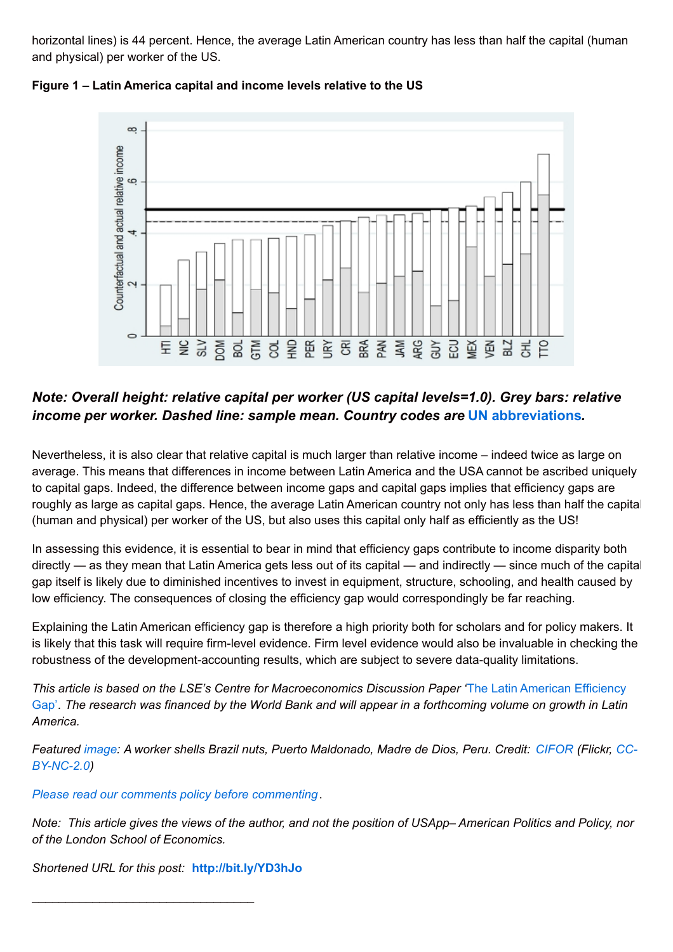horizontal lines) is 44 percent. Hence, the average Latin American country has less than half the capital (human and physical) per worker of the US.



**Figure 1 – Latin America capital and income levels relative to the US**

## *Note: Overall height: relative capital per worker (US capital levels=1.0). Grey bars: relative income per worker. Dashed line: sample mean. Country codes are* **UN [abbreviations](http://unstats.un.org/unsd/methods/m49/m49alpha.htm)***.*

Nevertheless, it is also clear that relative capital is much larger than relative income – indeed twice as large on average. This means that differences in income between Latin America and the USA cannot be ascribed uniquely to capital gaps. Indeed, the difference between income gaps and capital gaps implies that efficiency gaps are roughly as large as capital gaps. Hence, the average Latin American country not only has less than half the capital (human and physical) per worker of the US, but also uses this capital only half as efficiently as the US!

In assessing this evidence, it is essential to bear in mind that efficiency gaps contribute to income disparity both directly — as they mean that Latin America gets less out of its capital — and indirectly — since much of the capital gap itself is likely due to diminished incentives to invest in equipment, structure, schooling, and health caused by low efficiency. The consequences of closing the efficiency gap would correspondingly be far reaching.

Explaining the Latin American efficiency gap is therefore a high priority both for scholars and for policy makers. It is likely that this task will require firm-level evidence. Firm level evidence would also be invaluable in checking the robustness of the development-accounting results, which are subject to severe data-quality limitations.

*This article is based on the LSE's Centre for [Macroeconomics](http://cep.lse.ac.uk/pubs/download/dp1289.pdf) Discussion Paper '*The Latin American Efficiency Gap'. The research was financed by the World Bank and will appear in a forthcoming volume on growth in Latin *America.*

Featured [image](https://www.flickr.com/photos/cifor/8899086818): A worker shells Brazil nuts, Puerto [Maldonado,](https://creativecommons.org/licenses/by-nc/2.0/) Madre de Dios, Peru, Credit: [CIFOR](https://www.flickr.com/photos/cifor/) (Flickr, CC-*BY-NC-2.0)*

*Please read our comments policy before [commenting](http://blogs.lse.ac.uk/europpblog/about/comments-policy/)*.

Note: This article gives the views of the author, and not the position of USApp–American Politics and Policy, nor *of the London School of Economics.*

*Shortened URL for this post:* **<http://bit.ly/YD3hJo>**

\_\_\_\_\_\_\_\_\_\_\_\_\_\_\_\_\_\_\_\_\_\_\_\_\_\_\_\_\_\_\_\_\_